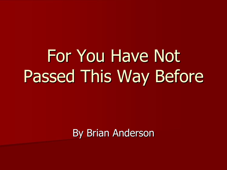By Brian Anderson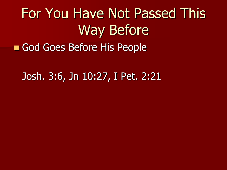### For You Have Not Passed This Way Before God Goes Before His People

#### Josh. 3:6, Jn 10:27, I Pet. 2:21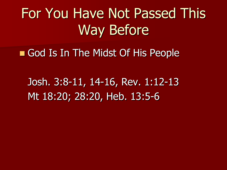God Is In The Midst Of His People

Josh. 3:8-11, 14-16, Rev. 1:12-13 Mt 18:20; 28:20, Heb. 13:5-6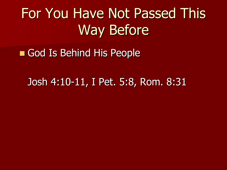God Is Behind His People

Josh 4:10-11, I Pet. 5:8, Rom. 8:31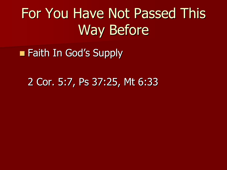**Faith In God's Supply** 

2 Cor. 5:7, Ps 37:25, Mt 6:33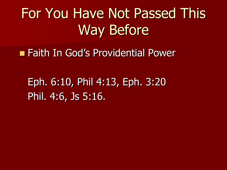**Faith In God's Providential Power** 

Eph. 6:10, Phil 4:13, Eph. 3:20 Phil. 4:6, Js 5:16.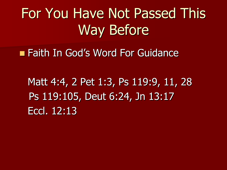**Eaith In God's Word For Guidance** 

Matt 4:4, 2 Pet 1:3, Ps 119:9, 11, 28 Ps 119:105, Deut 6:24, Jn 13:17 Eccl. 12:13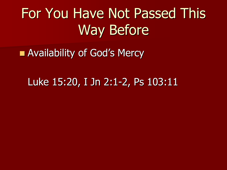**Availability of God's Mercy** 

#### Luke 15:20, I Jn 2:1-2, Ps 103:11